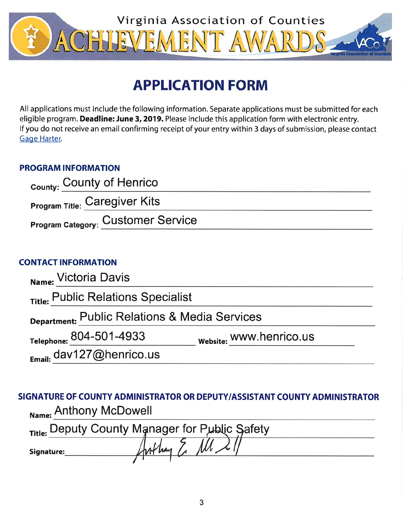

# **APPLICATION FORM**

All applications must include the following information. Separate applications must be submitted for each eligible program. Deadline: June 3, 2019. Please include this application form with electronic entry. If you do not receive an email confirming receipt of your entry within 3 days of submission, please contact Gage Harter.

# **PROGRAM INFORMATION**

| County: County of Henrico                 |  |
|-------------------------------------------|--|
| <b>Program Title: Caregiver Kits</b>      |  |
| <b>Program Category: Customer Service</b> |  |

# **CONTACT INFORMATION**

| Name: Victoria Davis                          |                         |  |  |  |
|-----------------------------------------------|-------------------------|--|--|--|
| Title: Public Relations Specialist            |                         |  |  |  |
| Department: Public Relations & Media Services |                         |  |  |  |
| Telephone: 804-501-4933                       | website: WWW.henrico.us |  |  |  |
| Email: dav127@henrico.us                      |                         |  |  |  |

SIGNATURE OF COUNTY ADMINISTRATOR OR DEPUTY/ASSISTANT COUNTY ADMINISTRATOR Name: Anthony McDowell

|            | Title: Deputy County Manager for Public Safety |  |
|------------|------------------------------------------------|--|
| Signature: |                                                |  |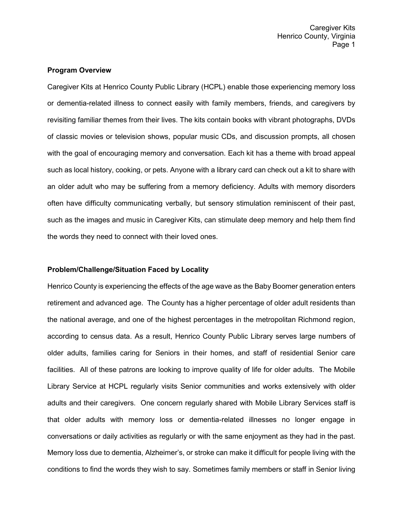Caregiver Kits Henrico County, Virginia Page 1

## **Program Overview**

Caregiver Kits at Henrico County Public Library (HCPL) enable those experiencing memory loss or dementia-related illness to connect easily with family members, friends, and caregivers by revisiting familiar themes from their lives. The kits contain books with vibrant photographs, DVDs of classic movies or television shows, popular music CDs, and discussion prompts, all chosen with the goal of encouraging memory and conversation. Each kit has a theme with broad appeal such as local history, cooking, or pets. Anyone with a library card can check out a kit to share with an older adult who may be suffering from a memory deficiency. Adults with memory disorders often have difficulty communicating verbally, but sensory stimulation reminiscent of their past, such as the images and music in Caregiver Kits, can stimulate deep memory and help them find the words they need to connect with their loved ones.

## **Problem/Challenge/Situation Faced by Locality**

Henrico County is experiencing the effects of the age wave as the Baby Boomer generation enters retirement and advanced age. The County has a higher percentage of older adult residents than the national average, and one of the highest percentages in the metropolitan Richmond region, according to census data. As a result, Henrico County Public Library serves large numbers of older adults, families caring for Seniors in their homes, and staff of residential Senior care facilities. All of these patrons are looking to improve quality of life for older adults. The Mobile Library Service at HCPL regularly visits Senior communities and works extensively with older adults and their caregivers. One concern regularly shared with Mobile Library Services staff is that older adults with memory loss or dementia-related illnesses no longer engage in conversations or daily activities as regularly or with the same enjoyment as they had in the past. Memory loss due to dementia, Alzheimer's, or stroke can make it difficult for people living with the conditions to find the words they wish to say. Sometimes family members or staff in Senior living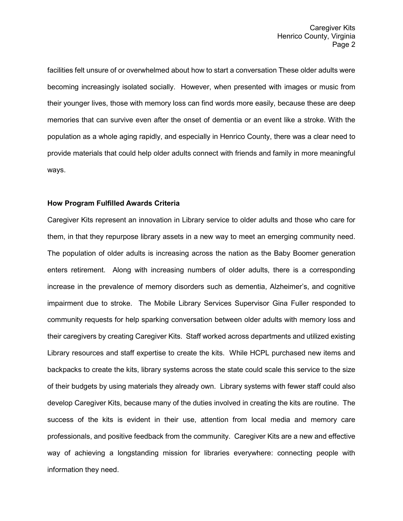facilities felt unsure of or overwhelmed about how to start a conversation These older adults were becoming increasingly isolated socially. However, when presented with images or music from their younger lives, those with memory loss can find words more easily, because these are deep memories that can survive even after the onset of dementia or an event like a stroke. With the population as a whole aging rapidly, and especially in Henrico County, there was a clear need to provide materials that could help older adults connect with friends and family in more meaningful ways.

#### **How Program Fulfilled Awards Criteria**

Caregiver Kits represent an innovation in Library service to older adults and those who care for them, in that they repurpose library assets in a new way to meet an emerging community need. The population of older adults is increasing across the nation as the Baby Boomer generation enters retirement. Along with increasing numbers of older adults, there is a corresponding increase in the prevalence of memory disorders such as dementia, Alzheimer's, and cognitive impairment due to stroke. The Mobile Library Services Supervisor Gina Fuller responded to community requests for help sparking conversation between older adults with memory loss and their caregivers by creating Caregiver Kits. Staff worked across departments and utilized existing Library resources and staff expertise to create the kits. While HCPL purchased new items and backpacks to create the kits, library systems across the state could scale this service to the size of their budgets by using materials they already own. Library systems with fewer staff could also develop Caregiver Kits, because many of the duties involved in creating the kits are routine. The success of the kits is evident in their use, attention from local media and memory care professionals, and positive feedback from the community. Caregiver Kits are a new and effective way of achieving a longstanding mission for libraries everywhere: connecting people with information they need.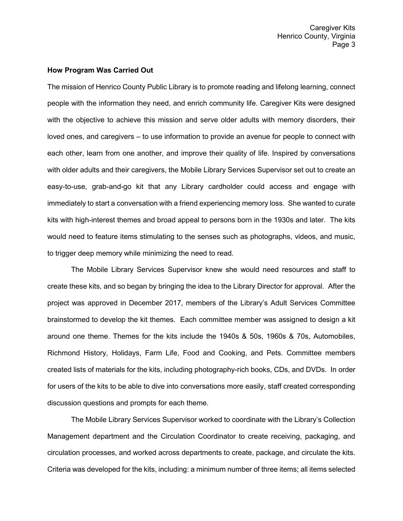#### **How Program Was Carried Out**

The mission of Henrico County Public Library is to promote reading and lifelong learning, connect people with the information they need, and enrich community life. Caregiver Kits were designed with the objective to achieve this mission and serve older adults with memory disorders, their loved ones, and caregivers – to use information to provide an avenue for people to connect with each other, learn from one another, and improve their quality of life. Inspired by conversations with older adults and their caregivers, the Mobile Library Services Supervisor set out to create an easy-to-use, grab-and-go kit that any Library cardholder could access and engage with immediately to start a conversation with a friend experiencing memory loss. She wanted to curate kits with high-interest themes and broad appeal to persons born in the 1930s and later. The kits would need to feature items stimulating to the senses such as photographs, videos, and music, to trigger deep memory while minimizing the need to read.

The Mobile Library Services Supervisor knew she would need resources and staff to create these kits, and so began by bringing the idea to the Library Director for approval. After the project was approved in December 2017, members of the Library's Adult Services Committee brainstormed to develop the kit themes. Each committee member was assigned to design a kit around one theme. Themes for the kits include the 1940s & 50s, 1960s & 70s, Automobiles, Richmond History, Holidays, Farm Life, Food and Cooking, and Pets. Committee members created lists of materials for the kits, including photography-rich books, CDs, and DVDs. In order for users of the kits to be able to dive into conversations more easily, staff created corresponding discussion questions and prompts for each theme.

The Mobile Library Services Supervisor worked to coordinate with the Library's Collection Management department and the Circulation Coordinator to create receiving, packaging, and circulation processes, and worked across departments to create, package, and circulate the kits. Criteria was developed for the kits, including: a minimum number of three items; all items selected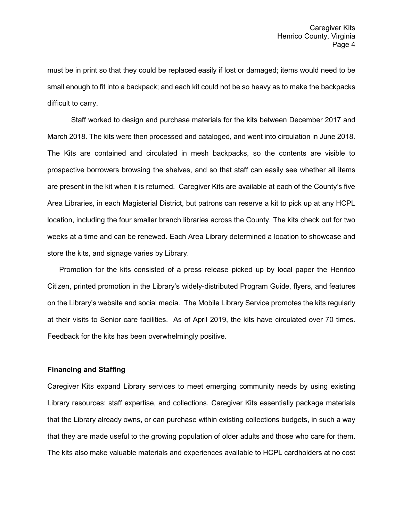must be in print so that they could be replaced easily if lost or damaged; items would need to be small enough to fit into a backpack; and each kit could not be so heavy as to make the backpacks difficult to carry.

Staff worked to design and purchase materials for the kits between December 2017 and March 2018. The kits were then processed and cataloged, and went into circulation in June 2018. The Kits are contained and circulated in mesh backpacks, so the contents are visible to prospective borrowers browsing the shelves, and so that staff can easily see whether all items are present in the kit when it is returned. Caregiver Kits are available at each of the County's five Area Libraries, in each Magisterial District, but patrons can reserve a kit to pick up at any HCPL location, including the four smaller branch libraries across the County. The kits check out for two weeks at a time and can be renewed. Each Area Library determined a location to showcase and store the kits, and signage varies by Library.

Promotion for the kits consisted of a press release picked up by local paper the Henrico Citizen, printed promotion in the Library's widely-distributed Program Guide, flyers, and features on the Library's website and social media. The Mobile Library Service promotes the kits regularly at their visits to Senior care facilities. As of April 2019, the kits have circulated over 70 times. Feedback for the kits has been overwhelmingly positive.

## **Financing and Staffing**

Caregiver Kits expand Library services to meet emerging community needs by using existing Library resources: staff expertise, and collections. Caregiver Kits essentially package materials that the Library already owns, or can purchase within existing collections budgets, in such a way that they are made useful to the growing population of older adults and those who care for them. The kits also make valuable materials and experiences available to HCPL cardholders at no cost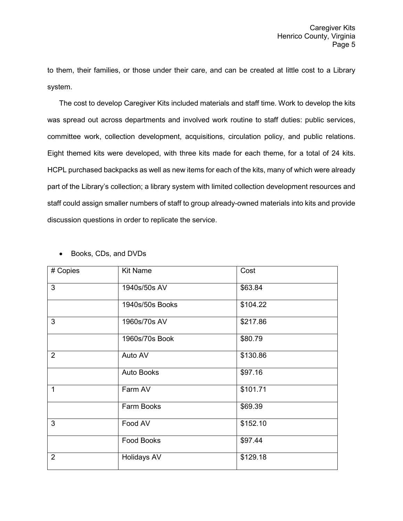to them, their families, or those under their care, and can be created at little cost to a Library system.

The cost to develop Caregiver Kits included materials and staff time. Work to develop the kits was spread out across departments and involved work routine to staff duties: public services, committee work, collection development, acquisitions, circulation policy, and public relations. Eight themed kits were developed, with three kits made for each theme, for a total of 24 kits. HCPL purchased backpacks as well as new items for each of the kits, many of which were already part of the Library's collection; a library system with limited collection development resources and staff could assign smaller numbers of staff to group already-owned materials into kits and provide discussion questions in order to replicate the service.

| # Copies       | <b>Kit Name</b>    | Cost     |
|----------------|--------------------|----------|
| 3              | 1940s/50s AV       | \$63.84  |
|                | 1940s/50s Books    | \$104.22 |
| 3              | 1960s/70s AV       | \$217.86 |
|                | 1960s/70s Book     | \$80.79  |
| $\overline{2}$ | Auto AV            | \$130.86 |
|                | <b>Auto Books</b>  | \$97.16  |
| 1              | Farm AV            | \$101.71 |
|                | Farm Books         | \$69.39  |
| 3              | Food AV            | \$152.10 |
|                | <b>Food Books</b>  | \$97.44  |
| $\overline{2}$ | <b>Holidays AV</b> | \$129.18 |

• Books, CDs, and DVDs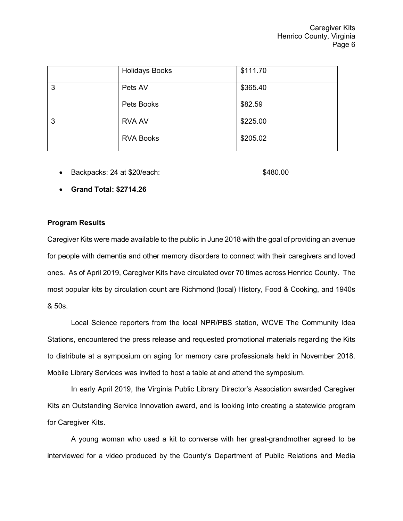|   | <b>Holidays Books</b> | \$111.70 |
|---|-----------------------|----------|
| 3 | Pets AV               | \$365.40 |
|   | Pets Books            | \$82.59  |
| 3 | <b>RVA AV</b>         | \$225.00 |
|   | <b>RVA Books</b>      | \$205.02 |

• Backpacks: 24 at \$20/each: \$480.00

• **Grand Total: \$2714.26**

# **Program Results**

Caregiver Kits were made available to the public in June 2018 with the goal of providing an avenue for people with dementia and other memory disorders to connect with their caregivers and loved ones. As of April 2019, Caregiver Kits have circulated over 70 times across Henrico County. The most popular kits by circulation count are Richmond (local) History, Food & Cooking, and 1940s & 50s.

Local Science reporters from the local NPR/PBS station, WCVE The Community Idea Stations, encountered the press release and requested promotional materials regarding the Kits to distribute at a symposium on aging for memory care professionals held in November 2018. Mobile Library Services was invited to host a table at and attend the symposium.

In early April 2019, the Virginia Public Library Director's Association awarded Caregiver Kits an Outstanding Service Innovation award, and is looking into creating a statewide program for Caregiver Kits.

A young woman who used a kit to converse with her great-grandmother agreed to be interviewed for a video produced by the County's Department of Public Relations and Media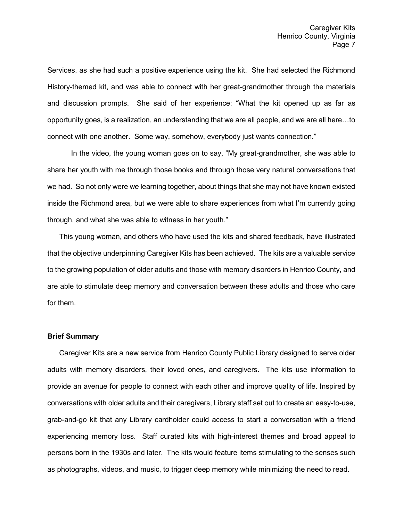Services, as she had such a positive experience using the kit. She had selected the Richmond History-themed kit, and was able to connect with her great-grandmother through the materials and discussion prompts. She said of her experience: "What the kit opened up as far as opportunity goes, is a realization, an understanding that we are all people, and we are all here…to connect with one another. Some way, somehow, everybody just wants connection."

In the video, the young woman goes on to say, "My great-grandmother, she was able to share her youth with me through those books and through those very natural conversations that we had. So not only were we learning together, about things that she may not have known existed inside the Richmond area, but we were able to share experiences from what I'm currently going through, and what she was able to witness in her youth."

This young woman, and others who have used the kits and shared feedback, have illustrated that the objective underpinning Caregiver Kits has been achieved. The kits are a valuable service to the growing population of older adults and those with memory disorders in Henrico County, and are able to stimulate deep memory and conversation between these adults and those who care for them.

#### **Brief Summary**

Caregiver Kits are a new service from Henrico County Public Library designed to serve older adults with memory disorders, their loved ones, and caregivers. The kits use information to provide an avenue for people to connect with each other and improve quality of life. Inspired by conversations with older adults and their caregivers, Library staff set out to create an easy-to-use, grab-and-go kit that any Library cardholder could access to start a conversation with a friend experiencing memory loss. Staff curated kits with high-interest themes and broad appeal to persons born in the 1930s and later. The kits would feature items stimulating to the senses such as photographs, videos, and music, to trigger deep memory while minimizing the need to read.